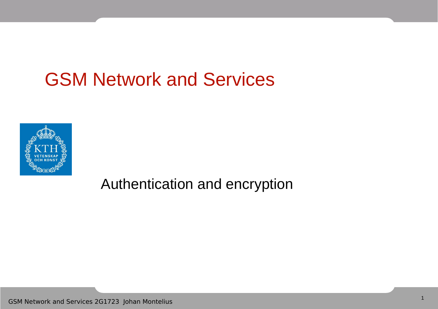### GSM Network and Services



Authentication and encryption

GSM Network and Services 2G1723 Johan Montelius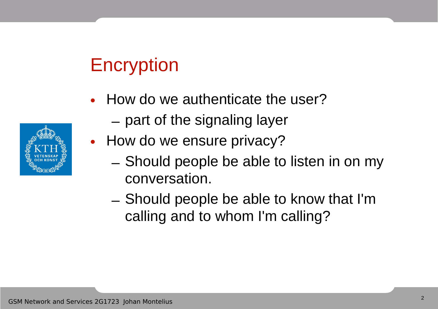# **Encryption**

- How do we authenticate the user?
	- part of the signaling layer
- How do we ensure privacy?
	- Should people be able to listen in on my conversation.
	- Should people be able to know that I'm calling and to whom I'm calling?

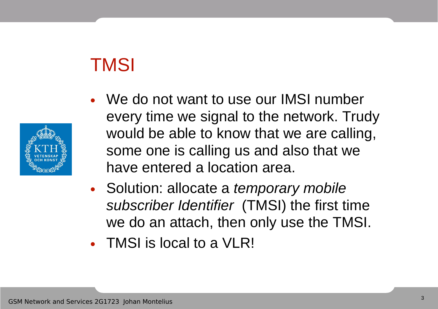# TMSI



- We do not want to use our IMSI number every time we signal to the network. Trudy would be able to know that we are calling, some one is calling us and also that we have entered a location area.
- Solution: allocate a temporary mobile subscriber Identifier (TMSI) the first time we do an attach, then only use the TMSI.
- TMSI is local to a VLR!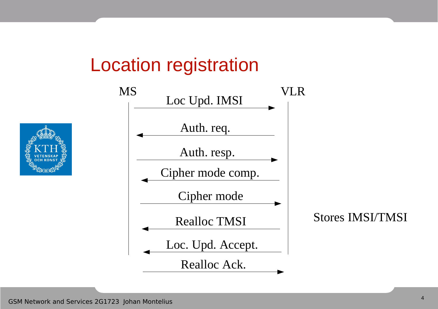### Location registration



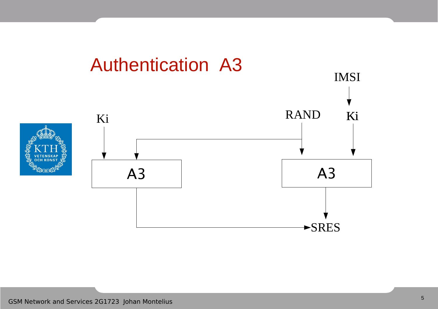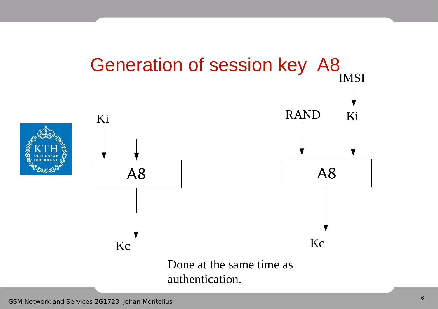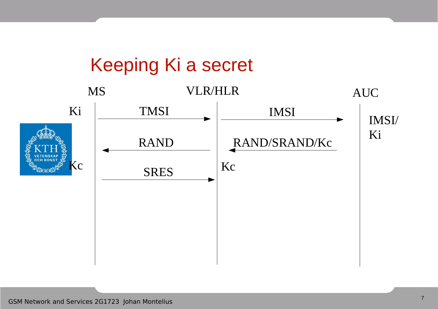### Keeping Ki a secret

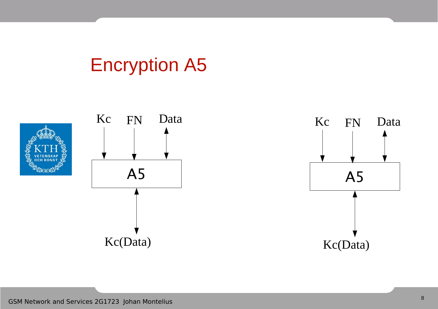# Encryption A5





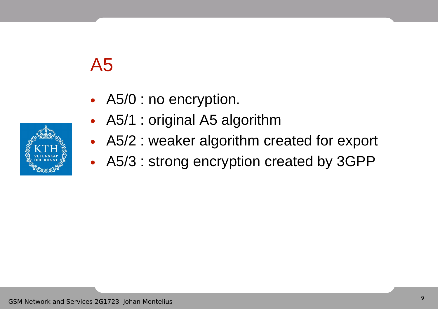# A5

- A5/0 : no encryption.
- A5/1 : original A5 algorithm
- A5/2 : weaker algorithm created for export
- A5/3 : strong encryption created by 3GPP

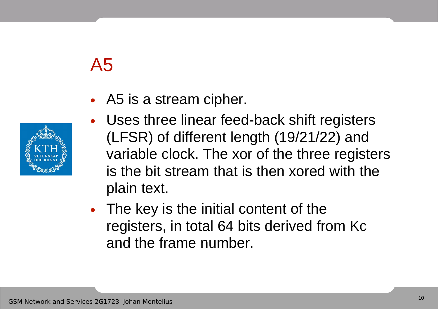# A5





- Uses three linear feed-back shift registers (LFSR) of different length (19/21/22) and variable clock. The xor of the three registers is the bit stream that is then xored with the plain text.
- The key is the initial content of the registers, in total 64 bits derived from Kc and the frame number.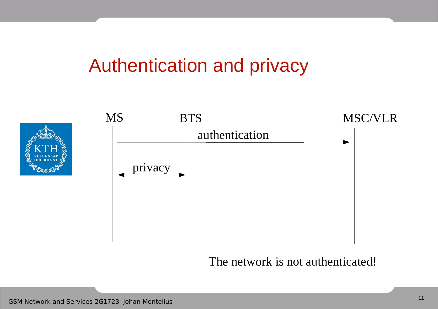#### Authentication and privacy





The network is not authenticated!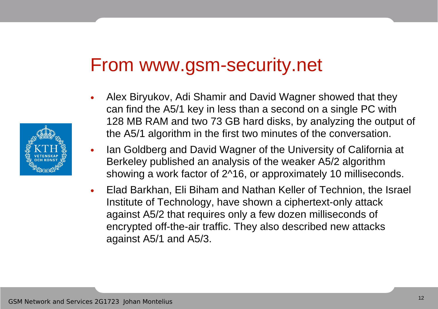#### From www.gsm-security.net

- Alex Biryukov, Adi Shamir and David Wagner showed that they can find the A5/1 key in less than a second on a single PC with 128 MB RAM and two 73 GB hard disks, by analyzing the output of the A5/1 algorithm in the first two minutes of the conversation.
- Ian Goldberg and David Wagner of the University of California at Berkeley published an analysis of the weaker A5/2 algorithm showing a work factor of 2^16, or approximately 10 milliseconds.
- Elad Barkhan, Eli Biham and Nathan Keller of Technion, the Israel Institute of Technology, have shown a ciphertext-only attack against A5/2 that requires only a few dozen milliseconds of encrypted off-the-air traffic. They also described new attacks against A5/1 and A5/3.